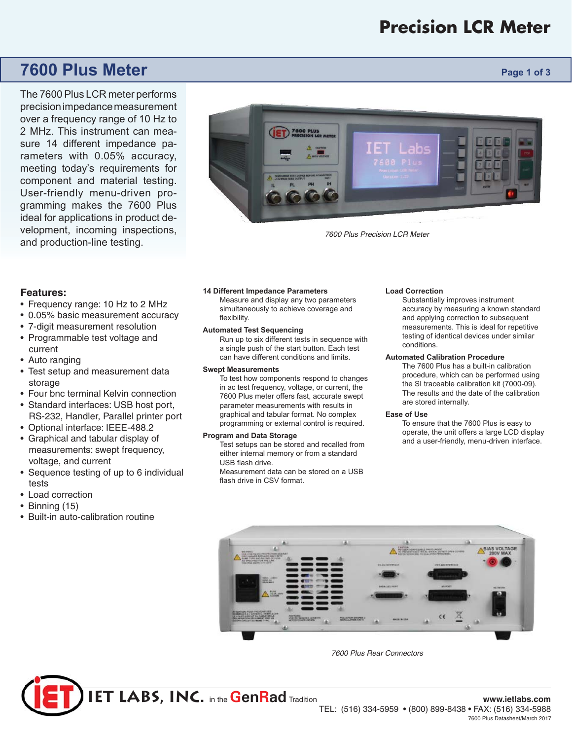# **Precision LCR Meter**

# **7600 Plus Meter Page 1 of 3**

The 7600 Plus LCR meter performs precision impedance measurement over a frequency range of 10 Hz to 2 MHz. This instrument can measure 14 different impedance parameters with 0.05% accuracy, meeting today's requirements for component and material testing. User-friendly menu-driven programming makes the 7600 Plus ideal for applications in product development, incoming inspections, and production-line testing.



*7600 Plus Precision LCR Meter*

# **Features:**

- Frequency range: 10 Hz to 2 MHz
- 0.05% basic measurement accuracy
- 7-digit measurement resolution
- Programmable test voltage and current
- Auto ranging
- Test setup and measurement data storage
- Four bnc terminal Kelvin connection
- Standard interfaces: USB host port, RS-232, Handler, Parallel printer port
- Optional interface: IEEE-488.2
- Graphical and tabular display of measurements: swept frequency, voltage, and current
- Sequence testing of up to 6 individual tests
- Load correction
- Binning (15)
- Built-in auto-calibration routine

#### **14 Different Impedance Parameters**

Measure and display any two parameters simultaneously to achieve coverage and flexibility.

#### **Automated Test Sequencing**

Run up to six different tests in sequence with a single push of the start button. Each test can have different conditions and limits.

### **Swept Measurements**

To test how components respond to changes in ac test frequency, voltage, or current, the 7600 Plus meter offers fast, accurate swept parameter measurements with results in graphical and tabular format. No complex programming or external control is required.

### **Program and Data Storage**

Test setups can be stored and recalled from either internal memory or from a standard USB flash drive.

Measurement data can be stored on a USB flash drive in CSV format.

#### **Load Correction**

Substantially improves instrument accuracy by measuring a known standard and applying correction to subsequent measurements. This is ideal for repetitive testing of identical devices under similar conditions.

#### **Automated Calibration Procedure**

The 7600 Plus has a built-in calibration procedure, which can be performed using the SI traceable calibration kit (7000-09). The results and the date of the calibration are stored internally.

#### **Ease of Use**

To ensure that the 7600 Plus is easy to operate, the unit offers a large LCD display and a user-friendly, menu-driven interface.



*7600 Plus Rear Connectors*

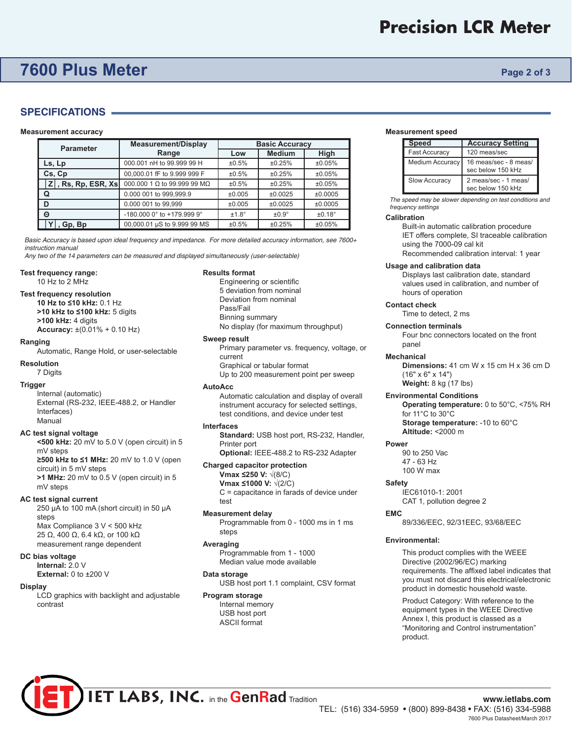# **7600 Plus Meter Page 2 of 3**

# **SPECIFICATIONS**

#### **Measurement accuracy**

| <b>Parameter</b>      | <b>Measurement/Display</b>  | <b>Basic Accuracy</b> |                 |         |
|-----------------------|-----------------------------|-----------------------|-----------------|---------|
|                       | Range                       | Low                   | <b>Medium</b>   | High    |
| Ls, Lp                | 000.001 nH to 99.999 99 H   | ±0.5%                 | ±0.25%          | ±0.05%  |
| Cs, Cp                | 00,000.01 fF to 9.999 999 F | ±0.5%                 | ±0.25%          | ±0.05%  |
| $Z$ , Rs, Rp, ESR, Xs | 000,000 1 Ω to 99,999 99 MΩ | ±0.5%                 | ±0.25%          | ±0.05%  |
| Q                     | 0.000 001 to 999,999.9      | ±0.005                | ±0.0025         | ±0.0005 |
| D                     | 0.000 001 to 99.999         | ±0.005                | ±0.0025         | ±0.0005 |
| Θ                     | -180.000 0° to +179.999 9°  | $±1.8^\circ$          | $\pm 0.9^\circ$ | ±0.18°  |
| , Gp, Bp              | 00,000.01 µS to 9.999 99 MS | ±0.5%                 | ±0.25%          | ±0.05%  |

*Basic Accuracy is based upon ideal frequency and impedance. For more detailed accuracy information, see 7600+ instruction manual* 

*Any two of the 14 parameters can be measured and displayed simultaneously (user-selectable)* 

#### **Test frequency range:**

10 Hz to 2 MHz

#### **Test frequency resolution**

**10 Hz to ≤10 kHz:** 0.1 Hz **>10 kHz to ≤100 kHz:** 5 digits **>100 kHz:** 4 digits

#### **Accuracy:** ±(0.01% + 0.10 Hz)

**Ranging** 

Automatic, Range Hold, or user-selectable

#### **Resolution**

7 Digits

#### **Trigger**

Internal (automatic) External (RS-232, IEEE-488.2, or Handler Interfaces) Manual

#### **AC test signal voltage**

**<500 kHz:** 20 mV to 5.0 V (open circuit) in 5 mV steps **≥500 kHz to ≤1 MHz:** 20 mV to 1.0 V (open circuit) in 5 mV steps

**>1 MHz:** 20 mV to 0.5 V (open circuit) in 5 mV steps

# **AC test signal current**

250 μA to 100 mA (short circuit) in 50 μA steps Max Compliance 3 V < 500 kHz 25 Ω, 400 Ω, 6.4 kΩ, or 100 kΩ measurement range dependent

#### **DC bias voltage**

**Internal:** 2.0 V

**External: 0 to ±200 V** 

## **Display**

LCD graphics with backlight and adjustable contrast

#### **Results format**

Engineering or scientific 5 deviation from nominal Deviation from nominal Pass/Fail Binning summary No display (for maximum throughput)

## **Sweep result**

Primary parameter vs. frequency, voltage, or current Graphical or tabular format Up to 200 measurement point per sweep

#### **AutoAcc**

Automatic calculation and display of overall instrument accuracy for selected settings, test conditions, and device under test

#### **Interfaces**

**Standard:** USB host port, RS-232, Handler, Printer port **Optional: IEEE-488.2 to RS-232 Adapter** 

# **Charged capacitor protection**

**Vmax ≤250 V:** √(8/C)

**Vmax ≤1000 V:** √(2/C) C = capacitance in farads of device under test

#### **Measurement delay**

Programmable from 0 - 1000 ms in 1 ms steps

#### **Averaging**

Programmable from 1 - 1000 Median value mode available

### **Data storage**

USB host port 1.1 complaint, CSV format

# **Program storage**

Internal memory USB host port ASCII format

#### **Measurement speed**

| <b>Speed</b>           | <b>Accuracy Setting</b>                    |
|------------------------|--------------------------------------------|
| <b>Fast Accuracy</b>   | 120 meas/sec                               |
| <b>Medium Accuracy</b> | 16 meas/sec - 8 meas/<br>sec below 150 kHz |
| <b>Slow Accuracy</b>   | 2 meas/sec - 1 meas/<br>sec below 150 kHz  |

*The speed may be slower depending on test conditions and frequency settings* 

#### **Calibration**

Built-in automatic calibration procedure IET offers complete, SI traceable calibration using the 7000-09 cal kit Recommended calibration interval: 1 year

#### **Usage and calibration data**

Displays last calibration date, standard values used in calibration, and number of hours of operation

### **Contact check**

Time to detect, 2 ms

#### **Connection terminals**

Four bnc connectors located on the front panel

#### **Mechanical**

**Dimensions:** 41 cm W x 15 cm H x 36 cm D (16" x 6" x 14") **Weight:** 8 kg (17 lbs)

# **Environmental Conditions**

**Operating temperature:** 0 to 50°C, <75% RH for 11°C to 30°C **Storage temperature:** -10 to 60°C **Altitude:** <2000 m

# **Power**

90 to 250 Vac 47 - 63 Hz 100 W max

#### **Safety**

IEC61010-1: 2001 CAT 1, pollution degree 2

#### **EMC**

89/336/EEC, 92/31EEC, 93/68/EEC

#### **Environmental:**

This product complies with the WEEE Directive (2002/96/EC) marking requirements. The affixed label indicates that you must not discard this electrical/electronic product in domestic household waste.

Product Category: With reference to the equipment types in the WEEE Directive Annex I, this product is classed as a "Monitoring and Control instrumentation" product.

TEL: (516) 334-5959 • (800) 899-8438 • FAX: (516) 334-5988 7600 Plus Datasheet/March 2017